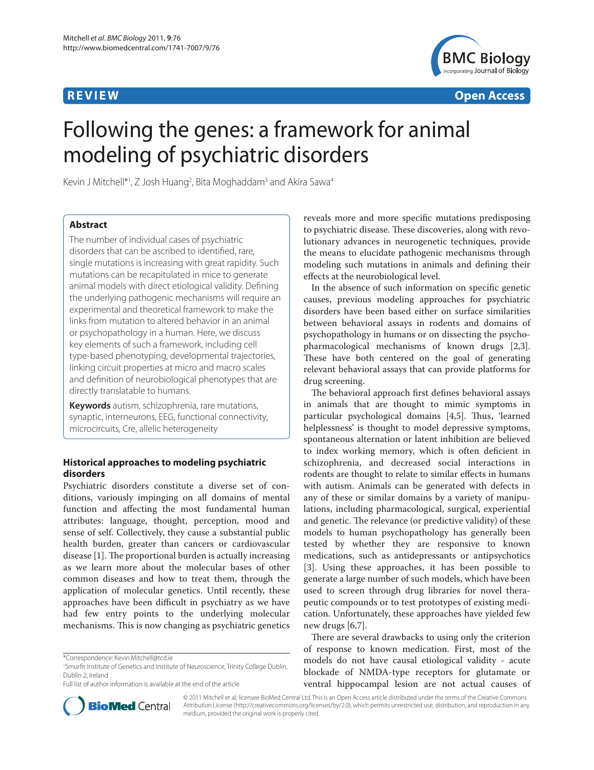

**R E V I E W Open Access**

# Following the genes: a framework for animal modeling of psychiatric disorders

Kevin J Mitchell\*<sup>1</sup>, Z Josh Huang<sup>2</sup>, Bita Moghaddam<sup>3</sup> and Akira Sawa<sup>4</sup>

# **Abstract**

The number of individual cases of psychiatric disorders that can be ascribed to identified, rare, single mutations is increasing with great rapidity. Such mutations can be recapitulated in mice to generate animal models with direct etiological validity. Defining the underlying pathogenic mechanisms will require an experimental and theoretical framework to make the links from mutation to altered behavior in an animal or psychopathology in a human. Here, we discuss key elements of such a framework, including cell type-based phenotyping, developmental trajectories, linking circuit properties at micro and macro scales and definition of neurobiological phenotypes that are directly translatable to humans.

**Keywords** autism, schizophrenia, rare mutations, synaptic, interneurons, EEG, functional connectivity, microcircuits, Cre, allelic heterogeneity

# **Historical approaches to modeling psychiatric disorders**

Psychiatric disorders constitute a diverse set of conditions, variously impinging on all domains of mental function and affecting the most fundamental human attributes: language, thought, perception, mood and sense of self. Collectively, they cause a substantial public health burden, greater than cancers or cardiovascular disease [1]. The proportional burden is actually increasing as we learn more about the molecular bases of other common diseases and how to treat them, through the application of molecular genetics. Until recently, these approaches have been difficult in psychiatry as we have had few entry points to the underlying molecular mechanisms. This is now changing as psychiatric genetics

Full list of author information is available at the end of the article



reveals more and more specific mutations predisposing to psychiatric disease. These discoveries, along with revolutionary advances in neurogenetic techniques, provide the means to elucidate pathogenic mechanisms through modeling such mutations in animals and defining their effects at the neurobiological level.

In the absence of such information on specific genetic causes, previous modeling approaches for psychiatric disorders have been based either on surface similarities between behavioral assays in rodents and domains of psychopathology in humans or on dissecting the psychopharmacological mechanisms of known drugs [2,3]. These have both centered on the goal of generating relevant behavioral assays that can provide platforms for drug screening.

The behavioral approach first defines behavioral assays in animals that are thought to mimic symptoms in particular psychological domains [4,5]. Thus, 'learned helplessness' is thought to model depressive symptoms, spontaneous alternation or latent inhibition are believed to index working memory, which is often deficient in schizophrenia, and decreased social interactions in rodents are thought to relate to similar effects in humans with autism. Animals can be generated with defects in any of these or similar domains by a variety of manipulations, including pharmacological, surgical, experiential and genetic. The relevance (or predictive validity) of these models to human psychopathology has generally been tested by whether they are responsive to known medications, such as antidepressants or antipsychotics [3]. Using these approaches, it has been possible to generate a large number of such models, which have been used to screen through drug libraries for novel therapeutic compounds or to test prototypes of existing medication. Unfortunately, these approaches have yielded few new drugs [6,7].

There are several drawbacks to using only the criterion of response to known medication. First, most of the models do not have causal etiological validity - acute blockade of NMDA-type receptors for glutamate or ventral hippocampal lesion are not actual causes of

<sup>\*</sup>Correspondence: Kevin.Mitchell@tcd.ie

<sup>1</sup> Smurfit Institute of Genetics and Institute of Neuroscience, Trinity College Dublin, Dublin 2, Ireland

<sup>© 2011</sup> Mitchell et al; licensee BioMed Central Ltd. This is an Open Access article distributed under the terms of the Creative Commons Attribution License (http://creativecommons.org/licenses/by/2.0), which permits unrestricted use, distribution, and reproduction in any medium, provided the original work is properly cited.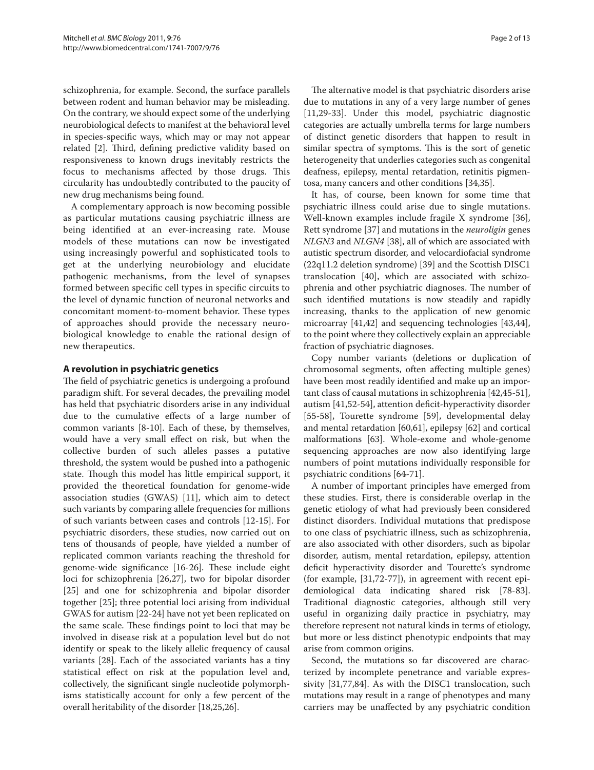schizophrenia, for example. Second, the surface parallels between rodent and human behavior may be misleading. On the contrary, we should expect some of the underlying neurobiological defects to manifest at the behavioral level in species-specific ways, which may or may not appear related [2]. Third, defining predictive validity based on responsiveness to known drugs inevitably restricts the focus to mechanisms affected by those drugs. This circularity has undoubtedly contributed to the paucity of new drug mechanisms being found.

A complementary approach is now becoming possible as particular mutations causing psychiatric illness are being identified at an ever-increasing rate. Mouse models of these mutations can now be investigated using increasingly powerful and sophisticated tools to get at the underlying neurobiology and elucidate pathogenic mechanisms, from the level of synapses formed between specific cell types in specific circuits to the level of dynamic function of neuronal networks and concomitant moment-to-moment behavior. These types of approaches should provide the necessary neurobiological knowledge to enable the rational design of new therapeutics.

## **A revolution in psychiatric genetics**

The field of psychiatric genetics is undergoing a profound paradigm shift. For several decades, the prevailing model has held that psychiatric disorders arise in any individual due to the cumulative effects of a large number of common variants [8-10]. Each of these, by themselves, would have a very small effect on risk, but when the collective burden of such alleles passes a putative threshold, the system would be pushed into a pathogenic state. Though this model has little empirical support, it provided the theoretical foundation for genome-wide association studies (GWAS) [11], which aim to detect such variants by comparing allele frequencies for millions of such variants between cases and controls [12-15]. For psychiatric disorders, these studies, now carried out on tens of thousands of people, have yielded a number of replicated common variants reaching the threshold for genome-wide significance [16-26]. These include eight loci for schizophrenia [26,27], two for bipolar disorder [25] and one for schizophrenia and bipolar disorder together [25]; three potential loci arising from individual GWAS for autism [22-24] have not yet been replicated on the same scale. These findings point to loci that may be involved in disease risk at a population level but do not identify or speak to the likely allelic frequency of causal variants [28]. Each of the associated variants has a tiny statistical effect on risk at the population level and, collectively, the significant single nucleotide polymorphisms statistically account for only a few percent of the overall heritability of the disorder [18,25,26].

The alternative model is that psychiatric disorders arise due to mutations in any of a very large number of genes [11,29-33]. Under this model, psychiatric diagnostic categories are actually umbrella terms for large numbers of distinct genetic disorders that happen to result in similar spectra of symptoms. This is the sort of genetic heterogeneity that underlies categories such as congenital deafness, epilepsy, mental retardation, retinitis pigmentosa, many cancers and other conditions [34,35].

It has, of course, been known for some time that psychiatric illness could arise due to single mutations. Well-known examples include fragile X syndrome [36], Rett syndrome [37] and mutations in the *neuroligin* genes *NLGN3* and *NLGN4* [38], all of which are associated with autistic spectrum disorder, and velocardiofacial syndrome (22q11.2 deletion syndrome) [39] and the Scottish DISC1 translocation [40], which are associated with schizophrenia and other psychiatric diagnoses. The number of such identified mutations is now steadily and rapidly increasing, thanks to the application of new genomic microarray [41,42] and sequencing technologies [43,44], to the point where they collectively explain an appreciable fraction of psychiatric diagnoses.

Copy number variants (deletions or duplication of chromosomal segments, often affecting multiple genes) have been most readily identified and make up an important class of causal mutations in schizophrenia  $[42, 45-51]$ , autism [41,52-54], attention deficit-hyperactivity disorder [55-58], Tourette syndrome [59], developmental delay and mental retardation [60,61], epilepsy [62] and cortical malformations [63]. Whole-exome and whole-genome sequencing approaches are now also identifying large numbers of point mutations individually responsible for psychiatric conditions [64-71].

A number of important principles have emerged from these studies. First, there is considerable overlap in the genetic etiology of what had previously been considered distinct disorders. Individual mutations that predispose to one class of psychiatric illness, such as schizophrenia, are also associated with other disorders, such as bipolar disorder, autism, mental retardation, epilepsy, attention deficit hyperactivity disorder and Tourette's syndrome (for example, [31,72-77]), in agreement with recent epidemiological data indicating shared risk [78-83]. Traditional diagnostic categories, although still very useful in organizing daily practice in psychiatry, may therefore represent not natural kinds in terms of etiology, but more or less distinct phenotypic endpoints that may arise from common origins.

Second, the mutations so far discovered are characterized by incomplete penetrance and variable expressivity [31,77,84]. As with the DISC1 translocation, such mutations may result in a range of phenotypes and many carriers may be unaffected by any psychiatric condition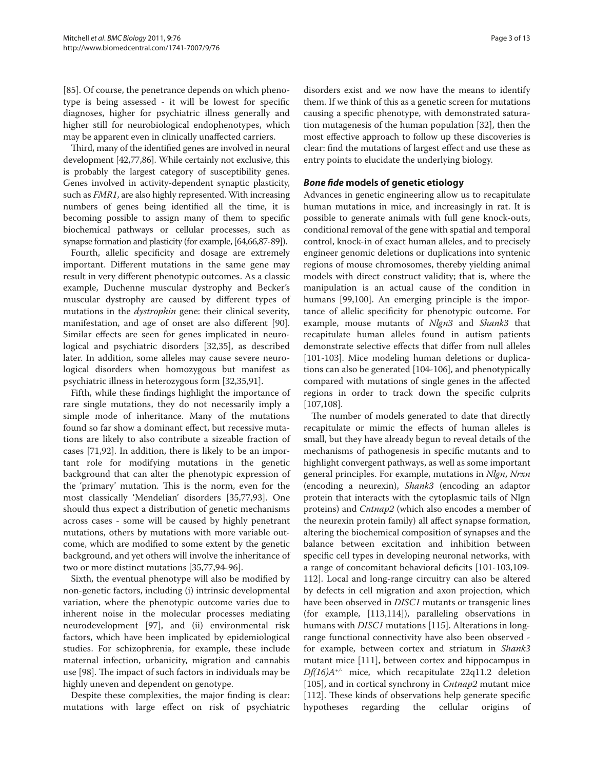[85]. Of course, the penetrance depends on which phenotype is being assessed - it will be lowest for specific diagnoses, higher for psychiatric illness generally and higher still for neurobiological endophenotypes, which may be apparent even in clinically unaffected carriers.

Third, many of the identified genes are involved in neural development [42,77,86]. While certainly not exclusive, this is probably the largest category of susceptibility genes. Genes involved in activity-dependent synaptic plasticity, such as *FMR1*, are also highly represented. With increasing numbers of genes being identified all the time, it is becoming possible to assign many of them to specific biochemical pathways or cellular processes, such as synapse formation and plasticity (for example, [64,66,87-89]).

Fourth, allelic specificity and dosage are extremely important. Different mutations in the same gene may result in very different phenotypic outcomes. As a classic example, Duchenne muscular dystrophy and Becker's muscular dystrophy are caused by different types of mutations in the *dystrophin* gene: their clinical severity, manifestation, and age of onset are also different [90]. Similar effects are seen for genes implicated in neurological and psychiatric disorders [32,35], as described later. In addition, some alleles may cause severe neurological disorders when homozygous but manifest as psychiatric illness in heterozygous form [32,35,91].

Fifth, while these findings highlight the importance of rare single mutations, they do not necessarily imply a simple mode of inheritance. Many of the mutations found so far show a dominant effect, but recessive mutations are likely to also contribute a sizeable fraction of cases [71,92]. In addition, there is likely to be an important role for modifying mutations in the genetic background that can alter the phenotypic expression of the 'primary' mutation. This is the norm, even for the most classically 'Mendelian' disorders [35,77,93]. One should thus expect a distribution of genetic mechanisms across cases - some will be caused by highly penetrant mutations, others by mutations with more variable outcome, which are modified to some extent by the genetic background, and yet others will involve the inheritance of two or more distinct mutations [35,77,94-96].

Sixth, the eventual phenotype will also be modified by non-genetic factors, including (i) intrinsic developmental variation, where the phenotypic outcome varies due to inherent noise in the molecular processes mediating neurodevelopment [97], and (ii) environmental risk factors, which have been implicated by epidemiological studies. For schizophrenia, for example, these include maternal infection, urbanicity, migration and cannabis use [98]. The impact of such factors in individuals may be highly uneven and dependent on genotype.

Despite these complexities, the major finding is clear: mutations with large effect on risk of psychiatric disorders exist and we now have the means to identify them. If we think of this as a genetic screen for mutations causing a specific phenotype, with demonstrated saturation mutagenesis of the human population [32], then the most effective approach to follow up these discoveries is clear: find the mutations of largest effect and use these as entry points to elucidate the underlying biology.

## *Bone fide* **models of genetic etiology**

Advances in genetic engineering allow us to recapitulate human mutations in mice, and increasingly in rat. It is possible to generate animals with full gene knock-outs, conditional removal of the gene with spatial and temporal control, knock-in of exact human alleles, and to precisely engineer genomic deletions or duplications into syntenic regions of mouse chromosomes, thereby yielding animal models with direct construct validity; that is, where the manipulation is an actual cause of the condition in humans [99,100]. An emerging principle is the importance of allelic specificity for phenotypic outcome. For example, mouse mutants of *Nlgn3* and *Shank3* that recapitulate human alleles found in autism patients demonstrate selective effects that differ from null alleles [101-103]. Mice modeling human deletions or duplications can also be generated [104-106], and phenotypically compared with mutations of single genes in the affected regions in order to track down the specific culprits [107,108].

The number of models generated to date that directly recapitulate or mimic the effects of human alleles is small, but they have already begun to reveal details of the mechanisms of pathogenesis in specific mutants and to highlight convergent pathways, as well as some important general principles. For example, mutations in *Nlgn*, *Nrxn* (encoding a neurexin), *Shank3* (encoding an adaptor protein that interacts with the cytoplasmic tails of Nlgn proteins) and *Cntnap2* (which also encodes a member of the neurexin protein family) all affect synapse formation, altering the biochemical composition of synapses and the balance between excitation and inhibition between specific cell types in developing neuronal networks, with a range of concomitant behavioral deficits [101-103,109-112]. Local and long-range circuitry can also be altered by defects in cell migration and axon projection, which have been observed in *DISC1* mutants or transgenic lines (for example, [113,114]), paralleling observations in humans with *DISC1* mutations [115]. Alterations in longrange functional connectivity have also been observed for example, between cortex and striatum in *Shank3* mutant mice [111], between cortex and hippocampus in *Df(16)A+/-* mice, which recapitulate 22q11.2 deletion [105], and in cortical synchrony in *Cntnap2* mutant mice [112]. These kinds of observations help generate specific hypotheses regarding the cellular origins of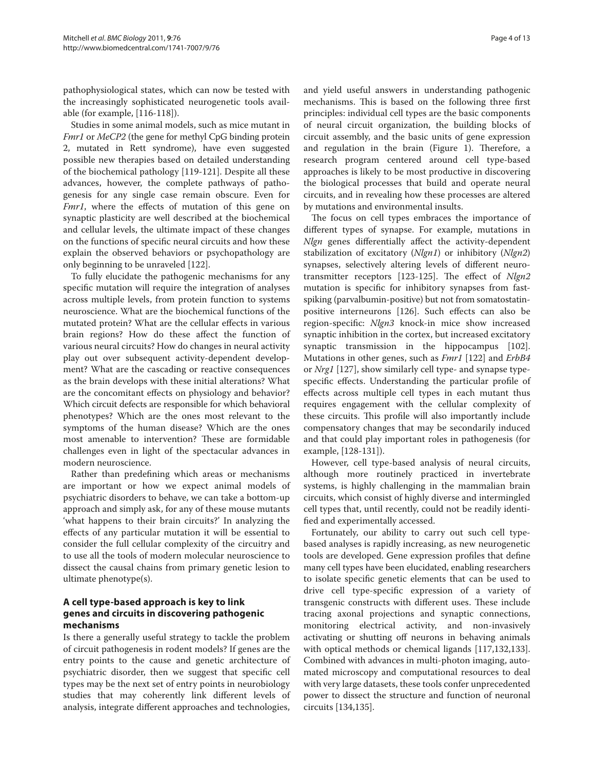pathophysiological states, which can now be tested with the increasingly sophisticated neurogenetic tools available (for example, [116-118]).

Studies in some animal models, such as mice mutant in *Fmr1* or *MeCP2* (the gene for methyl CpG binding protein 2, mutated in Rett syndrome), have even suggested possible new therapies based on detailed understanding of the biochemical pathology [119-121]. Despite all these advances, however, the complete pathways of pathogenesis for any single case remain obscure. Even for *Fmr1*, where the effects of mutation of this gene on synaptic plasticity are well described at the biochemical and cellular levels, the ultimate impact of these changes on the functions of specific neural circuits and how these explain the observed behaviors or psychopathology are only beginning to be unraveled [122].

To fully elucidate the pathogenic mechanisms for any specific mutation will require the integration of analyses across multiple levels, from protein function to systems neuroscience. What are the biochemical functions of the mutated protein? What are the cellular effects in various brain regions? How do these affect the function of various neural circuits? How do changes in neural activity play out over subsequent activity-dependent development? What are the cascading or reactive consequences as the brain develops with these initial alterations? What are the concomitant effects on physiology and behavior? Which circuit defects are responsible for which behavioral phenotypes? Which are the ones most relevant to the symptoms of the human disease? Which are the ones most amenable to intervention? These are formidable challenges even in light of the spectacular advances in modern neuroscience.

Rather than predefining which areas or mechanisms are important or how we expect animal models of psychiatric disorders to behave, we can take a bottom-up approach and simply ask, for any of these mouse mutants 'what happens to their brain circuits?' In analyzing the effects of any particular mutation it will be essential to consider the full cellular complexity of the circuitry and to use all the tools of modern molecular neuroscience to dissect the causal chains from primary genetic lesion to ultimate phenotype(s).

# **A cell type-based approach is key to link genes and circuits in discovering pathogenic mechanisms**

Is there a generally useful strategy to tackle the problem of circuit pathogenesis in rodent models? If genes are the entry points to the cause and genetic architecture of psychiatric disorder, then we suggest that specific cell types may be the next set of entry points in neurobiology studies that may coherently link different levels of analysis, integrate different approaches and technologies, and yield useful answers in understanding pathogenic mechanisms. This is based on the following three first principles: individual cell types are the basic components of neural circuit organization, the building blocks of circuit assembly, and the basic units of gene expression and regulation in the brain (Figure 1). Therefore, a research program centered around cell type-based approaches is likely to be most productive in discovering the biological processes that build and operate neural circuits, and in revealing how these processes are altered by mutations and environmental insults.

The focus on cell types embraces the importance of different types of synapse. For example, mutations in *Nlgn* genes differentially affect the activity-dependent stabilization of excitatory (*Nlgn1*) or inhibitory (*Nlgn2*) synapses, selectively altering levels of different neurotransmitter receptors [123-125]. The effect of *Nlgn2* mutation is specific for inhibitory synapses from fastspiking (parvalbumin-positive) but not from somatostatinpositive interneurons [126]. Such effects can also be region-specific: *Nlgn3* knock-in mice show increased synaptic inhibition in the cortex, but increased excitatory synaptic transmission in the hippocampus [102]. Mutations in other genes, such as *Fmr1* [122] and *ErbB4* or *Nrg1* [127], show similarly cell type- and synapse typespecific effects. Understanding the particular profile of effects across multiple cell types in each mutant thus requires engagement with the cellular complexity of these circuits. This profile will also importantly include compensatory changes that may be secondarily induced and that could play important roles in pathogenesis (for example, [128-131]).

However, cell type-based analysis of neural circuits, although more routinely practiced in invertebrate systems, is highly challenging in the mammalian brain circuits, which consist of highly diverse and intermingled cell types that, until recently, could not be readily identified and experimentally accessed.

Fortunately, our ability to carry out such cell typebased analyses is rapidly increasing, as new neurogenetic tools are developed. Gene expression profiles that define many cell types have been elucidated, enabling researchers to isolate specific genetic elements that can be used to drive cell type-specific expression of a variety of transgenic constructs with different uses. These include tracing axonal projections and synaptic connections, monitoring electrical activity, and non-invasively activating or shutting off neurons in behaving animals with optical methods or chemical ligands [117,132,133]. Combined with advances in multi-photon imaging, automated microscopy and computational resources to deal with very large datasets, these tools confer unprecedented power to dissect the structure and function of neuronal circuits [134,135].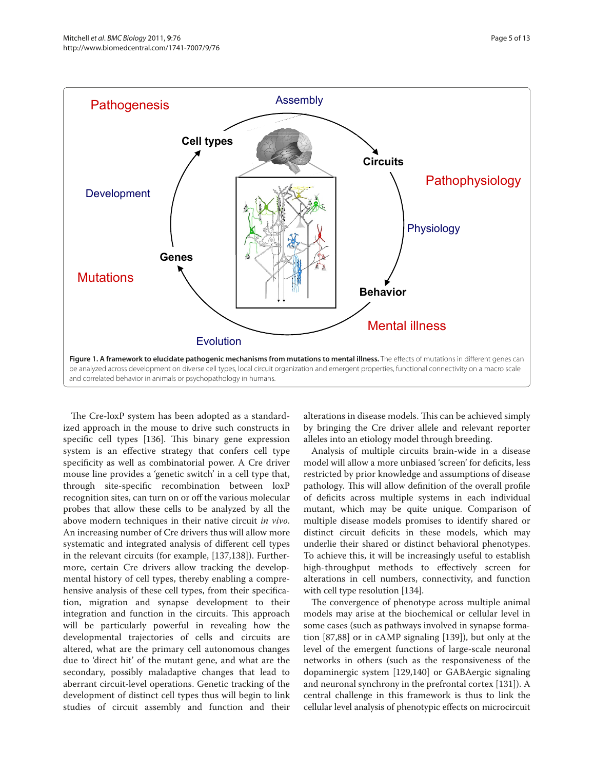

The Cre-loxP system has been adopted as a standardized approach in the mouse to drive such constructs in specific cell types [136]. This binary gene expression system is an effective strategy that confers cell type specificity as well as combinatorial power. A Cre driver mouse line provides a 'genetic switch' in a cell type that, through site-specific recombination between loxP recognition sites, can turn on or off the various molecular probes that allow these cells to be analyzed by all the above modern techniques in their native circuit *in vivo*. An increasing number of Cre drivers thus will allow more systematic and integrated analysis of different cell types in the relevant circuits (for example, [137,138]). Furthermore, certain Cre drivers allow tracking the developmental history of cell types, thereby enabling a comprehensive analysis of these cell types, from their specification, migration and synapse development to their integration and function in the circuits. This approach will be particularly powerful in revealing how the developmental trajectories of cells and circuits are altered, what are the primary cell autonomous changes due to 'direct hit' of the mutant gene, and what are the secondary, possibly maladaptive changes that lead to aberrant circuit-level operations. Genetic tracking of the development of distinct cell types thus will begin to link studies of circuit assembly and function and their

alterations in disease models. This can be achieved simply by bringing the Cre driver allele and relevant reporter alleles into an etiology model through breeding.

Analysis of multiple circuits brain-wide in a disease model will allow a more unbiased 'screen' for deficits, less restricted by prior knowledge and assumptions of disease pathology. This will allow definition of the overall profile of deficits across multiple systems in each individual mutant, which may be quite unique. Comparison of multiple disease models promises to identify shared or distinct circuit deficits in these models, which may underlie their shared or distinct behavioral phenotypes. To achieve this, it will be increasingly useful to establish high-throughput methods to effectively screen for alterations in cell numbers, connectivity, and function with cell type resolution [134].

The convergence of phenotype across multiple animal models may arise at the biochemical or cellular level in some cases (such as pathways involved in synapse formation [87,88] or in cAMP signaling [139]), but only at the level of the emergent functions of large-scale neuronal networks in others (such as the responsiveness of the dopaminergic system [129,140] or GABAergic signaling and neuronal synchrony in the prefrontal cortex [131]). A central challenge in this framework is thus to link the cellular level analysis of phenotypic effects on microcircuit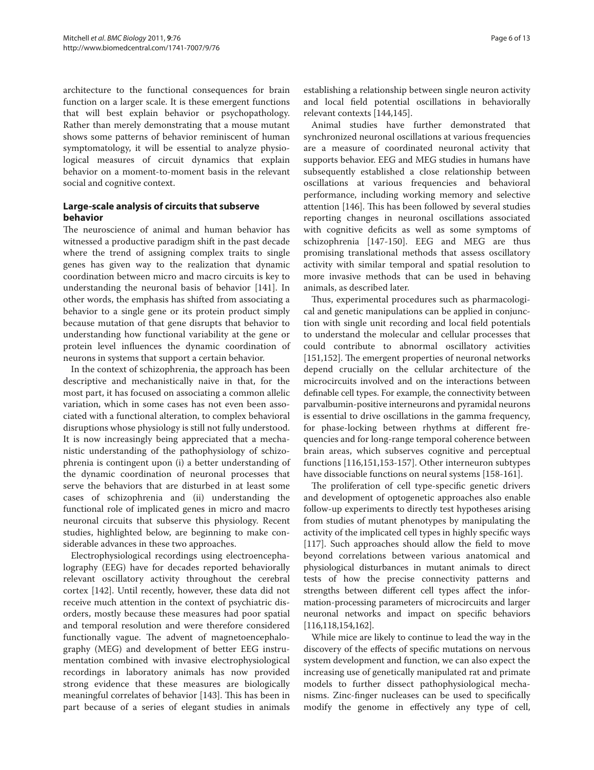architecture to the functional consequences for brain function on a larger scale. It is these emergent functions that will best explain behavior or psychopathology. Rather than merely demonstrating that a mouse mutant shows some patterns of behavior reminiscent of human symptomatology, it will be essential to analyze physiological measures of circuit dynamics that explain behavior on a moment-to-moment basis in the relevant social and cognitive context.

# **Large-scale analysis of circuits that subserve behavior**

The neuroscience of animal and human behavior has witnessed a productive paradigm shift in the past decade where the trend of assigning complex traits to single genes has given way to the realization that dynamic coordination between micro and macro circuits is key to understanding the neuronal basis of behavior [141]. In other words, the emphasis has shifted from associating a behavior to a single gene or its protein product simply because mutation of that gene disrupts that behavior to understanding how functional variability at the gene or protein level influences the dynamic coordination of neurons in systems that support a certain behavior.

In the context of schizophrenia, the approach has been descriptive and mechanistically naive in that, for the most part, it has focused on associating a common allelic variation, which in some cases has not even been associated with a functional alteration, to complex behavioral disruptions whose physiology is still not fully understood. It is now increasingly being appreciated that a mechanistic understanding of the pathophysiology of schizophrenia is contingent upon (i) a better understanding of the dynamic coordination of neuronal processes that serve the behaviors that are disturbed in at least some cases of schizophrenia and (ii) understanding the functional role of implicated genes in micro and macro neuronal circuits that subserve this physiology. Recent studies, highlighted below, are beginning to make considerable advances in these two approaches.

Electrophysiological recordings using electroencephalography (EEG) have for decades reported behaviorally relevant oscillatory activity throughout the cerebral cortex [142]. Until recently, however, these data did not receive much attention in the context of psychiatric disorders, mostly because these measures had poor spatial and temporal resolution and were therefore considered functionally vague. The advent of magnetoencephalography (MEG) and development of better EEG instrumentation combined with invasive electrophysiological recordings in laboratory animals has now provided strong evidence that these measures are biologically meaningful correlates of behavior [143]. This has been in part because of a series of elegant studies in animals establishing a relationship between single neuron activity and local field potential oscillations in behaviorally relevant contexts [144,145].

Animal studies have further demonstrated that synchronized neuronal oscillations at various frequencies are a measure of coordinated neuronal activity that supports behavior. EEG and MEG studies in humans have subsequently established a close relationship between oscillations at various frequencies and behavioral performance, including working memory and selective attention [146]. This has been followed by several studies reporting changes in neuronal oscillations associated with cognitive deficits as well as some symptoms of schizophrenia [147-150]. EEG and MEG are thus promising translational methods that assess oscillatory activity with similar temporal and spatial resolution to more invasive methods that can be used in behaving animals, as described later.

Thus, experimental procedures such as pharmacological and genetic manipulations can be applied in conjunction with single unit recording and local field potentials to understand the molecular and cellular processes that could contribute to abnormal oscillatory activities [151,152]. The emergent properties of neuronal networks depend crucially on the cellular architecture of the microcircuits involved and on the interactions between definable cell types. For example, the connectivity between parvalbumin-positive interneurons and pyramidal neurons is essential to drive oscillations in the gamma frequency, for phase-locking between rhythms at different frequencies and for long-range temporal coherence between brain areas, which subserves cognitive and perceptual functions [116,151,153-157]. Other interneuron subtypes have dissociable functions on neural systems [158-161].

The proliferation of cell type-specific genetic drivers and development of optogenetic approaches also enable follow-up experiments to directly test hypotheses arising from studies of mutant phenotypes by manipulating the activity of the implicated cell types in highly specific ways [117]. Such approaches should allow the field to move beyond correlations between various anatomical and physiological disturbances in mutant animals to direct tests of how the precise connectivity patterns and strengths between different cell types affect the information-processing parameters of microcircuits and larger neuronal networks and impact on specific behaviors [116,118,154,162].

While mice are likely to continue to lead the way in the discovery of the effects of specific mutations on nervous system development and function, we can also expect the increasing use of genetically manipulated rat and primate models to further dissect pathophysiological mechanisms. Zinc-finger nucleases can be used to specifically modify the genome in effectively any type of cell,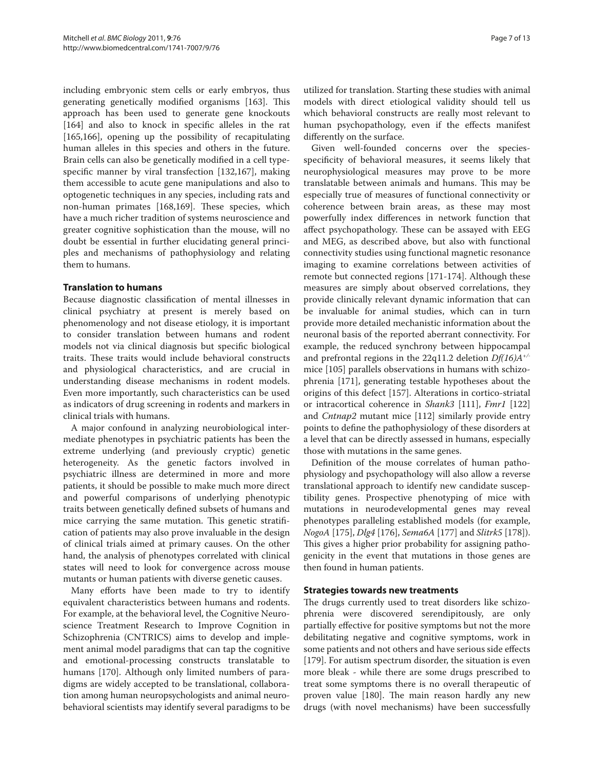including embryonic stem cells or early embryos, thus generating genetically modified organisms [163]. This approach has been used to generate gene knockouts [164] and also to knock in specific alleles in the rat [165,166], opening up the possibility of recapitulating human alleles in this species and others in the future. Brain cells can also be genetically modified in a cell typespecific manner by viral transfection [132,167], making them accessible to acute gene manipulations and also to optogenetic techniques in any species, including rats and non-human primates [168,169]. These species, which have a much richer tradition of systems neuroscience and greater cognitive sophistication than the mouse, will no doubt be essential in further elucidating general principles and mechanisms of pathophysiology and relating them to humans.

## **Translation to humans**

Because diagnostic classification of mental illnesses in clinical psychiatry at present is merely based on phenomenology and not disease etiology, it is important to consider translation between humans and rodent models not via clinical diagnosis but specific biological traits. These traits would include behavioral constructs and physiological characteristics, and are crucial in understanding disease mechanisms in rodent models. Even more importantly, such characteristics can be used as indicators of drug screening in rodents and markers in clinical trials with humans.

A major confound in analyzing neurobiological intermediate phenotypes in psychiatric patients has been the extreme underlying (and previously cryptic) genetic heterogeneity. As the genetic factors involved in psychiatric illness are determined in more and more patients, it should be possible to make much more direct and powerful comparisons of underlying phenotypic traits between genetically defined subsets of humans and mice carrying the same mutation. This genetic stratification of patients may also prove invaluable in the design of clinical trials aimed at primary causes. On the other hand, the analysis of phenotypes correlated with clinical states will need to look for convergence across mouse mutants or human patients with diverse genetic causes.

Many efforts have been made to try to identify equivalent characteristics between humans and rodents. For example, at the behavioral level, the Cognitive Neuroscience Treatment Research to Improve Cognition in Schizophrenia (CNTRICS) aims to develop and implement animal model paradigms that can tap the cognitive and emotional-processing constructs translatable to humans [170]. Although only limited numbers of paradigms are widely accepted to be translational, collaboration among human neuropsychologists and animal neurobehavioral scientists may identify several paradigms to be utilized for translation. Starting these studies with animal models with direct etiological validity should tell us which behavioral constructs are really most relevant to human psychopathology, even if the effects manifest differently on the surface.

Given well-founded concerns over the speciesspecificity of behavioral measures, it seems likely that neurophysiological measures may prove to be more translatable between animals and humans. This may be especially true of measures of functional connectivity or coherence between brain areas, as these may most powerfully index differences in network function that affect psychopathology. These can be assayed with EEG and MEG, as described above, but also with functional connectivity studies using functional magnetic resonance imaging to examine correlations between activities of remote but connected regions [171-174]. Although these measures are simply about observed correlations, they provide clinically relevant dynamic information that can be invaluable for animal studies, which can in turn provide more detailed mechanistic information about the neuronal basis of the reported aberrant connectivity. For example, the reduced synchrony between hippocampal and prefrontal regions in the 22q11.2 deletion *Df(16)A+/* mice [105] parallels observations in humans with schizophrenia [171], generating testable hypotheses about the origins of this defect [157]. Alterations in cortico-striatal or intracortical coherence in *Shank3* [111], *Fmr1* [122] and *Cntnap2* mutant mice [112] similarly provide entry points to define the pathophysiology of these disorders at a level that can be directly assessed in humans, especially those with mutations in the same genes.

Definition of the mouse correlates of human pathophysiology and psychopathology will also allow a reverse translational approach to identify new candidate susceptibility genes. Prospective phenotyping of mice with mutations in neurodevelopmental genes may reveal phenotypes paralleling established models (for example, *NogoA* [175], *Dlg4* [176], *Sema6A* [177] and *Slitrk5* [178]). This gives a higher prior probability for assigning pathogenicity in the event that mutations in those genes are then found in human patients.

#### **Strategies towards new treatments**

The drugs currently used to treat disorders like schizophrenia were discovered serendipitously, are only partially effective for positive symptoms but not the more debilitating negative and cognitive symptoms, work in some patients and not others and have serious side effects [179]. For autism spectrum disorder, the situation is even more bleak - while there are some drugs prescribed to treat some symptoms there is no overall therapeutic of proven value [180]. The main reason hardly any new drugs (with novel mechanisms) have been successfully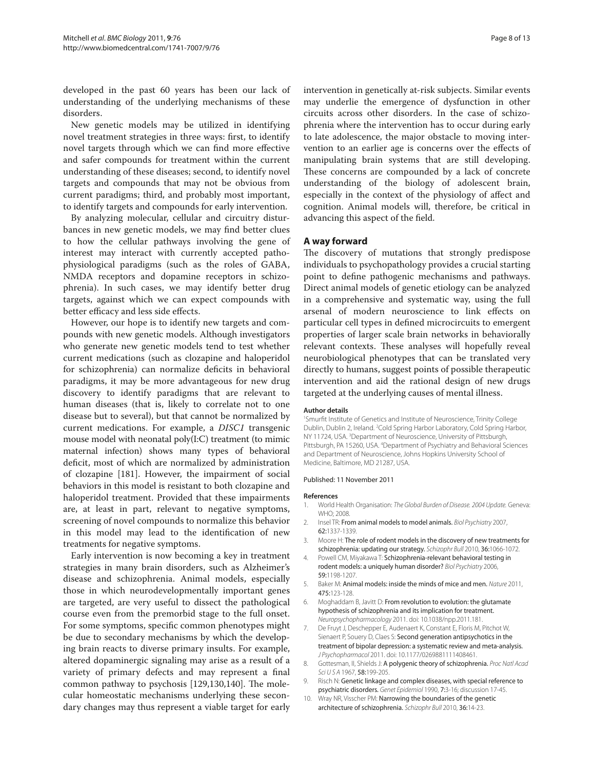developed in the past 60 years has been our lack of understanding of the underlying mechanisms of these disorders.

New genetic models may be utilized in identifying novel treatment strategies in three ways: first, to identify novel targets through which we can find more effective and safer compounds for treatment within the current understanding of these diseases; second, to identify novel targets and compounds that may not be obvious from current paradigms; third, and probably most important, to identify targets and compounds for early intervention.

By analyzing molecular, cellular and circuitry disturbances in new genetic models, we may find better clues to how the cellular pathways involving the gene of interest may interact with currently accepted pathophysiological paradigms (such as the roles of GABA, NMDA receptors and dopamine receptors in schizophrenia). In such cases, we may identify better drug targets, against which we can expect compounds with better efficacy and less side effects.

However, our hope is to identify new targets and compounds with new genetic models. Although investigators who generate new genetic models tend to test whether current medications (such as clozapine and haloperidol for schizophrenia) can normalize deficits in behavioral paradigms, it may be more advantageous for new drug discovery to identify paradigms that are relevant to human diseases (that is, likely to correlate not to one disease but to several), but that cannot be normalized by current medications. For example, a *DISC1* transgenic mouse model with neonatal poly(I:C) treatment (to mimic maternal infection) shows many types of behavioral deficit, most of which are normalized by administration of clozapine [181]. However, the impairment of social behaviors in this model is resistant to both clozapine and haloperidol treatment. Provided that these impairments are, at least in part, relevant to negative symptoms, screening of novel compounds to normalize this behavior in this model may lead to the identification of new treatments for negative symptoms.

Early intervention is now becoming a key in treatment strategies in many brain disorders, such as Alzheimer's disease and schizophrenia. Animal models, especially those in which neurodevelopmentally important genes are targeted, are very useful to dissect the pathological course even from the premorbid stage to the full onset. For some symptoms, specific common phenotypes might be due to secondary mechanisms by which the developing brain reacts to diverse primary insults. For example, altered dopaminergic signaling may arise as a result of a variety of primary defects and may represent a final common pathway to psychosis [129,130,140]. The molecular homeostatic mechanisms underlying these secondary changes may thus represent a viable target for early intervention in genetically at-risk subjects. Similar events may underlie the emergence of dysfunction in other circuits across other disorders. In the case of schizophrenia where the intervention has to occur during early to late adolescence, the major obstacle to moving intervention to an earlier age is concerns over the effects of manipulating brain systems that are still developing. These concerns are compounded by a lack of concrete understanding of the biology of adolescent brain, especially in the context of the physiology of affect and cognition. Animal models will, therefore, be critical in advancing this aspect of the field.

#### **A way forward**

The discovery of mutations that strongly predispose individuals to psychopathology provides a crucial starting point to define pathogenic mechanisms and pathways. Direct animal models of genetic etiology can be analyzed in a comprehensive and systematic way, using the full arsenal of modern neuroscience to link effects on particular cell types in defined microcircuits to emergent properties of larger scale brain networks in behaviorally relevant contexts. These analyses will hopefully reveal neurobiological phenotypes that can be translated very directly to humans, suggest points of possible therapeutic intervention and aid the rational design of new drugs targeted at the underlying causes of mental illness.

#### **Author details**

1 Smurfit Institute of Genetics and Institute of Neuroscience, Trinity College Dublin, Dublin 2, Ireland. <sup>2</sup> Cold Spring Harbor Laboratory, Cold Spring Harbor, NY 11724, USA. <sup>3</sup>Department of Neuroscience, University of Pittsburgh, Pittsburgh, PA 15260, USA. <sup>4</sup>Department of Psychiatry and Behavioral Sciences and Department of Neuroscience, Johns Hopkins University School of Medicine, Baltimore, MD 21287, USA.

#### Published: 11 November 2011

#### **References**

- 1. World Health Organisation: *The Global Burden of Disease. 2004 Update.* Geneva: WHO; 2008.
- 2. Insel TR: From animal models to model animals. *Biol Psychiatry* 2007, 62:1337-1339.
- 3. Moore H: The role of rodent models in the discovery of new treatments for schizophrenia: updating our strategy. *Schizophr Bull* 2010, 36:1066-1072.
- 4. Powell CM, Miyakawa T: Schizophrenia-relevant behavioral testing in rodent models: a uniquely human disorder? *Biol Psychiatry* 2006, 59:1198-1207.
- 5. Baker M: Animal models: inside the minds of mice and men. *Nature* 2011, 475:123-128.
- 6. Moghaddam B, Javitt D: From revolution to evolution: the glutamate hypothesis of schizophrenia and its implication for treatment. *Neuropsychopharmacology* 2011. doi: 10.1038/npp.2011.181.
- 7. De Fruyt J, Deschepper E, Audenaert K, Constant E, Floris M, Pitchot W, Sienaert P, Souery D, Claes S: Second generation antipsychotics in the treatment of bipolar depression: a systematic review and meta-analysis. *J Psychopharmacol* 2011. doi: 10.1177/0269881111408461.
- 8. Gottesman, II, Shields J: A polygenic theory of schizophrenia. *Proc Natl Acad Sci U S A* 1967, 58:199-205.
- 9. Risch N: Genetic linkage and complex diseases, with special reference to psychiatric disorders. *Genet Epidemiol* 1990, 7:3-16; discussion 17-45.
- 10. Wray NR, Visscher PM: Narrowing the boundaries of the genetic architecture of schizophrenia. *Schizophr Bull* 2010, 36:14-23.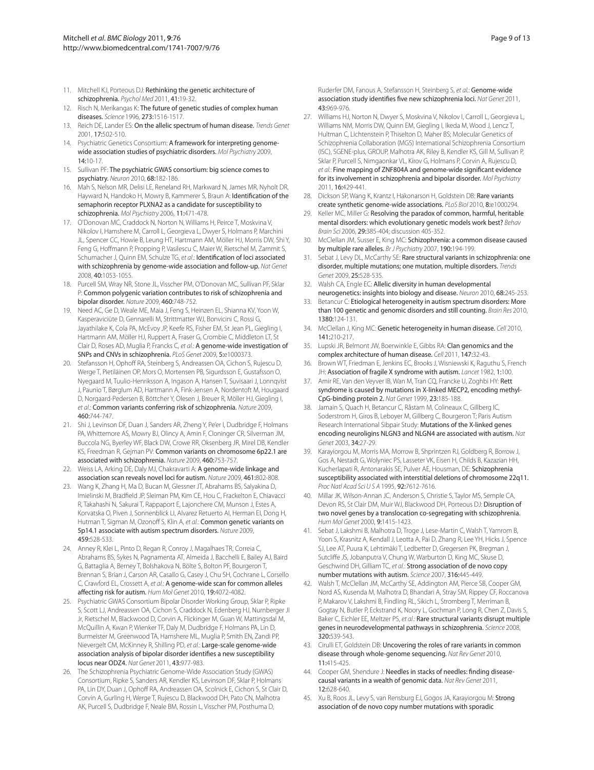- 11. Mitchell KJ, Porteous DJ: Rethinking the genetic architecture of schizophrenia. *Psychol Med* 2011, 41:19-32.
- 12. Risch N, Merikangas K: The future of genetic studies of complex human diseases. *Science* 1996, 273:1516-1517.
- 13. Reich DE, Lander ES: On the allelic spectrum of human disease. *Trends Genet*  2001, 17:502-510.
- 14. Psychiatric Genetics Consortium: A framework for interpreting genomewide association studies of psychiatric disorders. *Mol Psychiatry* 2009, 14:10-17.
- 15. Sullivan PF: The psychiatric GWAS consortium: big science comes to psychiatry. *Neuron* 2010, 68:182-186.
- 16. Mah S, Nelson MR, Delisi LE, Reneland RH, Markward N, James MR, Nyholt DR, Hayward N, Handoko H, Mowry B, Kammerer S, Braun A: Identification of the semaphorin receptor PLXNA2 as a candidate for susceptibility to schizophrenia. *Mol Psychiatry* 2006, 11:471-478.
- 17. O'Donovan MC, Craddock N, Norton N, Williams H, Peirce T, Moskvina V, Nikolov I, Hamshere M, Carroll L, Georgieva L, Dwyer S, Holmans P, Marchini JL, Spencer CC, Howie B, Leung HT, Hartmann AM, Möller HJ, Morris DW, Shi Y, Feng G, Hoffmann P, Propping P, Vasilescu C, Maier W, Rietschel M, Zammit S, Schumacher J, Quinn EM, Schulze TG, *et al*.: Identification of loci associated with schizophrenia by genome-wide association and follow-up. *Nat Genet*  2008, 40:1053-1055.
- 18. Purcell SM, Wray NR, Stone JL, Visscher PM, O'Donovan MC, Sullivan PF, Sklar P: Common polygenic variation contributes to risk of schizophrenia and bipolar disorder. *Nature* 2009, 460:748-752.
- 19. Need AC, Ge D, Weale ME, Maia J, Feng S, Heinzen EL, Shianna KV, Yoon W, Kasperaviciūte D, Gennarelli M, Strittmatter WJ, Bonvicini C, Rossi G, Jayathilake K, Cola PA, McEvoy JP, Keefe RS, Fisher EM, St Jean PL, Giegling I, Hartmann AM, Möller HJ, Ruppert A, Fraser G, Crombie C, Middleton LT, St Clair D, Roses AD, Muglia P, Francks C, *et al.*: A genome-wide investigation of SNPs and CNVs in schizophrenia. *PLoS Genet* 2009, 5:e1000373.
- 20. Stefansson H, Ophoff RA, Steinberg S, Andreassen OA, Cichon S, Rujescu D, Werge T, Pietiläinen OP, Mors O, Mortensen PB, Sigurdsson E, Gustafsson O, Nyegaard M, Tuulio-Henriksson A, Ingason A, Hansen T, Suvisaari J, Lonnqvist J, Paunio T, Børglum AD, Hartmann A, Fink-Jensen A, Nordentoft M, Hougaard D, Norgaard-Pedersen B, Böttcher Y, Olesen J, Breuer R, Möller HJ, Giegling I, *et al*.: Common variants conferring risk of schizophrenia. *Nature* 2009, 460:744-747.
- 21. Shi J, Levinson DF, Duan J, Sanders AR, Zheng Y, Pe'er I, Dudbridge F, Holmans PA, Whittemore AS, Mowry BJ, Olincy A, Amin F, Cloninger CR, Silverman JM, Buccola NG, Byerley WF, Black DW, Crowe RR, Oksenberg JR, Mirel DB, Kendler KS, Freedman R, Gejman PV: Common variants on chromosome 6p22.1 are associated with schizophrenia. *Nature* 2009, 460:753-757.
- 22. Weiss LA, Arking DE, Daly MJ, Chakravarti A: A genome-wide linkage and association scan reveals novel loci for autism. *Nature* 2009, 461:802-808.
- 23. Wang K, Zhang H, Ma D, Bucan M, Glessner JT, Abrahams BS, Salyakina D, Imielinski M, Bradfield JP, Sleiman PM, Kim CE, Hou C, Frackelton E, Chiavacci R, Takahashi N, Sakurai T, Rappaport E, Lajonchere CM, Munson J, Estes A, Korvatska O, Piven J, Sonnenblick LI, Alvarez Retuerto AI, Herman EI, Dong H, Hutman T, Sigman M, Ozonoff S, Klin A, *et al.*: Common genetic variants on 5p14.1 associate with autism spectrum disorders. *Nature* 2009, 459:528-533.
- 24. Anney R, Klei L, Pinto D, Regan R, Conroy J, Magalhaes TR, Correia C, Abrahams BS, Sykes N, Pagnamenta AT, Almeida J, Bacchelli E, Bailey AJ, Baird G, Battaglia A, Berney T, Bolshakova N, Bölte S, Bolton PF, Bourgeron T, Brennan S, Brian J, Carson AR, Casallo G, Casey J, Chu SH, Cochrane L, Corsello C, Crawford EL, Crossett A, *et al.*: A genome-wide scan for common alleles affecting risk for autism. *Hum Mol Genet* 2010, 19:4072-4082.
- 25. Psychiatric GWAS Consortium Bipolar Disorder Working Group, Sklar P, Ripke S, Scott LJ, Andreassen OA, Cichon S, Craddock N, Edenberg HJ, Nurnberger JI Jr, Rietschel M, Blackwood D, Corvin A, Flickinger M, Guan W, Mattingsdal M, McQuillin A, Kwan P, Wienker TF, Daly M, Dudbridge F, Holmans PA, Lin D, Burmeister M, Greenwood TA, Hamshere ML, Muglia P, Smith EN, Zandi PP, Nievergelt CM, McKinney R, Shilling PD, *et al.*: Large-scale genome-wide association analysis of bipolar disorder identifies a new susceptibility locus near ODZ4. *Nat Genet* 2011, 43:977-983.
- 26. The Schizophrenia Psychiatric Genome-Wide Association Study (GWAS) Consortium, Ripke S, Sanders AR, Kendler KS, Levinson DF, Sklar P, Holmans PA, Lin DY, Duan J, Ophoff RA, Andreassen OA, Scolnick E, Cichon S, St Clair D, Corvin A, Gurling H, Werge T, Rujescu D, Blackwood DH, Pato CN, Malhotra AK, Purcell S, Dudbridge F, Neale BM, Rossin L, Visscher PM, Posthuma D,

Ruderfer DM, Fanous A, Stefansson H, Steinberg S, *et al.*: Genome-wide association study identifies five new schizophrenia loci. *Nat Genet* 2011, 43:969-976.

- 27. Williams HJ, Norton N, Dwyer S, Moskvina V, Nikolov I, Carroll L, Georgieva L, Williams NM, Morris DW, Quinn EM, Giegling I, Ikeda M, Wood J, Lencz T, Hultman C, Lichtenstein P, Thiselton D, Maher BS; Molecular Genetics of Schizophrenia Collaboration (MGS) International Schizophrenia Consortium (ISC), SGENE-plus, GROUP, Malhotra AK, Riley B, Kendler KS, Gill M, Sullivan P, Sklar P, Purcell S, Nimgaonkar VL, Kirov G, Holmans P, Corvin A, Rujescu D, *et al.*: Fine mapping of ZNF804A and genome-wide significant evidence for its involvement in schizophrenia and bipolar disorder. *Mol Psychiatry*  2011, 16:429-441.
- 28. Dickson SP, Wang K, Krantz I, Hakonarson H, Goldstein DB: Rare variants create synthetic genome-wide associations. *PLoS Biol* 2010, 8:e1000294.
- 29. Keller MC, Miller G: Resolving the paradox of common, harmful, heritable mental disorders: which evolutionary genetic models work best? *Behav Brain Sci* 2006, 29:385-404; discussion 405-352.
- 30. McClellan JM, Susser E, King MC: Schizophrenia: a common disease caused by multiple rare alleles. *Br J Psychiatry* 2007, 190:194-199.
- 31. Sebat J, Levy DL, McCarthy SE: Rare structural variants in schizophrenia: one disorder, multiple mutations; one mutation, multiple disorders. *Trends Genet* 2009, 25:528-535.
- 32. Walsh CA, Engle EC: Allelic diversity in human developmental neurogenetics: insights into biology and disease. *Neuron* 2010, 68:245-253.
- 33. Betancur C: Etiological heterogeneity in autism spectrum disorders: More than 100 genetic and genomic disorders and still counting. *Brain Res* 2010, 1380:124-131.
- 34. McClellan J, King MC: Genetic heterogeneity in human disease. *Cell* 2010, 141:210-217.
- 35. Lupski JR, Belmont JW, Boerwinkle E, Gibbs RA: Clan genomics and the complex architecture of human disease. *Cell* 2011, 147:32-43.
- 36. Brown WT, Friedman E, Jenkins EC, Brooks J, Wisniewski K, Raguthu S, French JH: Association of fragile X syndrome with autism. *Lancet* 1982, 1:100.
- 37. Amir RE, Van den Veyver IB, Wan M, Tran CQ, Francke U, Zoghbi HY: Rett syndrome is caused by mutations in X-linked MECP2, encoding methyl-CpG-binding protein 2. *Nat Genet* 1999, 23:185-188.
- 38. Jamain S, Quach H, Betancur C, Råstam M, Colineaux C, Gillberg IC, Soderstrom H, Giros B, Leboyer M, Gillberg C, Bourgeron T; Paris Autism Research International Sibpair Study: Mutations of the X-linked genes encoding neuroligins NLGN3 and NLGN4 are associated with autism. *Nat Genet* 2003, 34:27-29.
- 39. Karayiorgou M, Morris MA, Morrow B, Shprintzen RJ, Goldberg R, Borrow J, Gos A, Nestadt G, Wolyniec PS, Lasseter VK, Eisen H, Childs B, Kazazian HH, Kucherlapati R, Antonarakis SE, Pulver AE, Housman, DE: Schizophrenia susceptibility associated with interstitial deletions of chromosome 22q11. *Proc Natl Acad Sci U S A* 1995, 92:7612-7616.
- 40. Millar JK, Wilson-Annan JC, Anderson S, Christie S, Taylor MS, Semple CA, Devon RS, St Clair DM, Muir WJ, Blackwood DH, Porteous DJ: Disruption of two novel genes by a translocation co-segregating with schizophrenia. *Hum Mol Genet* 2000, 9:1415-1423.
- 41. Sebat J, Lakshmi B, Malhotra D, Troge J, Lese-Martin C, Walsh T, Yamrom B, Yoon S, Krasnitz A, Kendall J, Leotta A, Pai D, Zhang R, Lee YH, Hicks J, Spence SJ, Lee AT, Puura K, Lehtimäki T, Ledbetter D, Gregersen PK, Bregman J, Sutcliffe JS, Jobanputra V, Chung W, Warburton D, King MC, Skuse D, Geschwind DH, Gilliam TC, *et al.*: Strong association of de novo copy number mutations with autism. *Science* 2007, 316:445-449.
- 42. Walsh T, McClellan JM, McCarthy SE, Addington AM, Pierce SB, Cooper GM, Nord AS, Kusenda M, Malhotra D, Bhandari A, Stray SM, Rippey CF, Roccanova P, Makarov V, Lakshmi B, Findling RL, Sikich L, Stromberg T, Merriman B, Gogtay N, Butler P, Eckstrand K, Noory L, Gochman P, Long R, Chen Z, Davis S, Baker C, Eichler EE, Meltzer PS, *et al.*: Rare structural variants disrupt multiple genes in neurodevelopmental pathways in schizophrenia. *Science* 2008, 320:539-543.
- 43. Cirulli ET, Goldstein DB: Uncovering the roles of rare variants in common disease through whole-genome sequencing. *Nat Rev Genet* 2010, 11:415-425.
- 44. Cooper GM, Shendure J: Needles in stacks of needles: finding diseasecausal variants in a wealth of genomic data. *Nat Rev Genet* 2011, 12:628-640.
- 45. Xu B, Roos JL, Levy S, van Rensburg EJ, Gogos JA, Karayiorgou M: Strong association of de novo copy number mutations with sporadic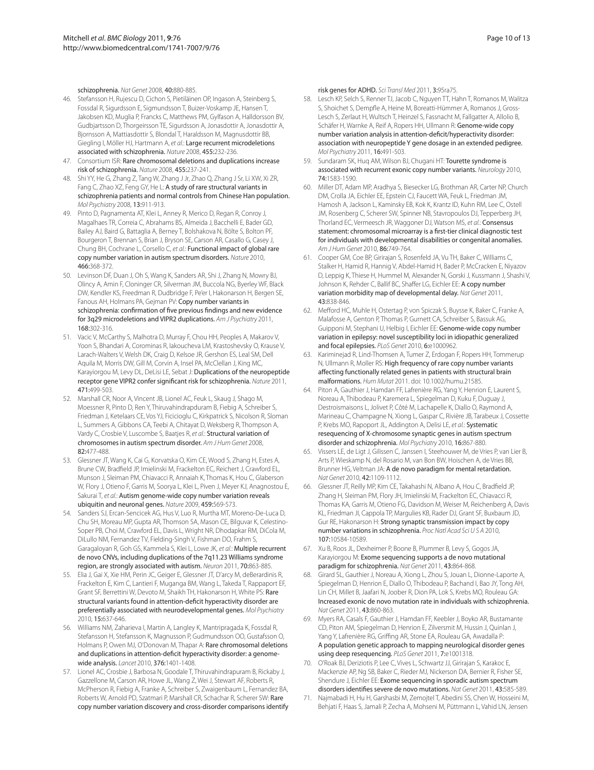schizophrenia. *Nat Genet* 2008, 40:880-885.

- 46. Stefansson H, Rujescu D, Cichon S, Pietiläinen OP, Ingason A, Steinberg S, Fossdal R, Sigurdsson E, Sigmundsson T, Buizer-Voskamp JE, Hansen T, Jakobsen KD, Muglia P, Francks C, Matthews PM, Gylfason A, Halldorsson BV, Gudbjartsson D, Thorgeirsson TE, Sigurdsson A, Jonasdottir A, Jonasdottir A, Bjornsson A, Mattiasdottir S, Blondal T, Haraldsson M, Magnusdottir BB, Giegling I, Möller HJ, Hartmann A, *et al.*: Large recurrent microdeletions associated with schizophrenia. *Nature* 2008, 455:232-236.
- 47. Consortium ISR: Rare chromosomal deletions and duplications increase risk of schizophrenia. *Nature* 2008, 455:237-241.
- 48. Shi YY, He G, Zhang Z, Tang W, Zhang J Jr, Zhao Q, Zhang J Sr, Li XW, Xi ZR, Fang C, Zhao XZ, Feng GY, He L: A study of rare structural variants in schizophrenia patients and normal controls from Chinese Han population. *Mol Psychiatry* 2008, 13:911-913.
- 49. Pinto D, Pagnamenta AT, Klei L, Anney R, Merico D, Regan R, Conroy J, Magalhaes TR, Correia C, Abrahams BS, Almeida J, Bacchelli E, Bader GD, Bailey AJ, Baird G, Battaglia A, Berney T, Bolshakova N, Bölte S, Bolton PF, Bourgeron T, Brennan S, Brian J, Bryson SE, Carson AR, Casallo G, Casey J, Chung BH, Cochrane L, Corsello C, *et al.*: Functional impact of global rare copy number variation in autism spectrum disorders. *Nature* 2010, 466:368-372.
- 50. Levinson DF, Duan J, Oh S, Wang K, Sanders AR, Shi J, Zhang N, Mowry BJ, Olincy A, Amin F, Cloninger CR, Silverman JM, Buccola NG, Byerley WF, Black DW, Kendler KS, Freedman R, Dudbridge F, Pe'er I, Hakonarson H, Bergen SE, Fanous AH, Holmans PA, Gejman PV: Copy number variants in schizophrenia: confirmation of five previous findings and new evidence for 3q29 microdeletions and VIPR2 duplications. *Am J Psychiatry* 2011, 168:302-316.
- 51. Vacic V, McCarthy S, Malhotra D, Murray F, Chou HH, Peoples A, Makarov V, Yoon S, Bhandari A, Corominas R, Iakoucheva LM, Krastoshevsky O, Krause V, Larach-Walters V, Welsh DK, Craig D, Kelsoe JR, Gershon ES, Leal SM, Dell Aquila M, Morris DW, Gill M, Corvin A, Insel PA, McClellan J, King MC, Karayiorgou M, Levy DL, DeLisi LE, Sebat J: Duplications of the neuropeptide receptor gene VIPR2 confer significant risk for schizophrenia. *Nature* 2011, 471:499-503.
- 52. Marshall CR, Noor A, Vincent JB, Lionel AC, Feuk L, Skaug J, Shago M, Moessner R, Pinto D, Ren Y, Thiruvahindrapduram B, Fiebig A, Schreiber S, Friedman J, Ketelaars CE, Vos YJ, Ficicioglu C, Kirkpatrick S, Nicolson R, Sloman L, Summers A, Gibbons CA, Teebi A, Chitayat D, Weksberg R, Thompson A, Vardy C, Crosbie V, Luscombe S, Baatjes R, *et al.*: Structural variation of chromosomes in autism spectrum disorder. *Am J Hum Genet* 2008, 82:477-488.
- 53. Glessner JT, Wang K, Cai G, Korvatska O, Kim CE, Wood S, Zhang H, Estes A, Brune CW, Bradfield JP, Imielinski M, Frackelton EC, Reichert J, Crawford EL, Munson J, Sleiman PM, Chiavacci R, Annaiah K, Thomas K, Hou C, Glaberson W, Flory J, Otieno F, Garris M, Soorya L, Klei L, Piven J, Meyer KJ, Anagnostou E, Sakurai T, et al.: Autism genome-wide copy number variation reveals ubiquitin and neuronal genes. *Nature* 2009, 459:569-573.
- 54. Sanders SJ, Ercan-Sencicek AG, Hus V, Luo R, Murtha MT, Moreno-De-Luca D, Chu SH, Moreau MP, Gupta AR, Thomson SA, Mason CE, Bilguvar K, Celestino-Soper PB, Choi M, Crawford EL, Davis L, Wright NR, Dhodapkar RM, DiCola M, DiLullo NM, Fernandez TV, Fielding-Singh V, Fishman DO, Frahm S, Garagaloyan R, Goh GS, Kammela S, Klei L, Lowe JK, *et al.*: Multiple recurrent de novo CNVs, including duplications of the 7q11.23 Williams syndrome region, are strongly associated with autism. *Neuron* 2011, 70:863-885.
- 55. Elia J, Gai X, Xie HM, Perin JC, Geiger E, Glessner JT, D'arcy M, deBerardinis R, Frackelton E, Kim C, Lantieri F, Muganga BM, Wang L, Takeda T, Rappaport EF, Grant SF, Berrettini W, Devoto M, Shaikh TH, Hakonarson H, White PS: Rare structural variants found in attention-deficit hyperactivity disorder are preferentially associated with neurodevelopmental genes. *Mol Psychiatry*  2010, 15:637-646.
- 56. Williams NM, Zaharieva I, Martin A, Langley K, Mantripragada K, Fossdal R, Stefansson H, Stefansson K, Magnusson P, Gudmundsson OO, Gustafsson O, Holmans P, Owen MJ, O'Donovan M, Thapar A: Rare chromosomal deletions and duplications in attention-deficit hyperactivity disorder: a genomewide analysis. *Lancet* 2010, 376:1401-1408.
- 57. Lionel AC, Crosbie J, Barbosa N, Goodale T, Thiruvahindrapuram B, Rickaby J, Gazzellone M, Carson AR, Howe JL, Wang Z, Wei J, Stewart AF, Roberts R, McPherson R, Fiebig A, Franke A, Schreiber S, Zwaigenbaum L, Fernandez BA, Roberts W, Arnold PD, Szatmari P, Marshall CR, Schachar R, Scherer SW: Rare copy number variation discovery and cross-disorder comparisons identify

risk genes for ADHD. *Sci Transl Med* 2011, 3:95ra75.

- 58. Lesch KP, Selch S, Renner TJ, Jacob C, Nguyen TT, Hahn T, Romanos M, Walitza S, Shoichet S, Dempfle A, Heine M, Boreatti-Hümmer A, Romanos J, Gross-Lesch S, Zerlaut H, Wultsch T, Heinzel S, Fassnacht M, Fallgatter A, Allolio B, Schäfer H, Warnke A, Reif A, Ropers HH, Ullmann R: Genome-wide copy number variation analysis in attention-deficit/hyperactivity disorder: association with neuropeptide Y gene dosage in an extended pedigree. *Mol Psychiatry* 2011, 16:491-503.
- 59. Sundaram SK, Huq AM, Wilson BJ, Chugani HT: Tourette syndrome is associated with recurrent exonic copy number variants. *Neurology* 2010, 74:1583-1590.
- 60. Miller DT, Adam MP, Aradhya S, Biesecker LG, Brothman AR, Carter NP, Church DM, Crolla JA, Eichler EE, Epstein CJ, Faucett WA, Feuk L, Friedman JM, Hamosh A, Jackson L, Kaminsky EB, Kok K, Krantz ID, Kuhn RM, Lee C, Ostell JM, Rosenberg C, Scherer SW, Spinner NB, Stavropoulos DJ, Tepperberg JH, Thorland EC, Vermeesch JR, Waggoner DJ, Watson MS, *et al.*: Consensus statement: chromosomal microarray is a first-tier clinical diagnostic test for individuals with developmental disabilities or congenital anomalies. *Am J Hum Genet* 2010, 86:749-764.
- 61. Cooper GM, Coe BP, Girirajan S, Rosenfeld JA, Vu TH, Baker C, Williams C, Stalker H, Hamid R, Hannig V, Abdel-Hamid H, Bader P, McCracken E, Niyazov D, Leppig K, Thiese H, Hummel M, Alexander N, Gorski J, Kussmann J, Shashi V, Johnson K, Rehder C, Ballif BC, Shaffer LG, Eichler EE: A copy number variation morbidity map of developmental delay. *Nat Genet* 2011, 43:838-846.
- 62. Mefford HC, Muhle H, Ostertag P, von Spiczak S, Buysse K, Baker C, Franke A, Malafosse A, Genton P, Thomas P, Gurnett CA, Schreiber S, Bassuk AG, Guipponi M, Stephani U, Helbig I, Eichler EE: Genome-wide copy number variation in epilepsy: novel susceptibility loci in idiopathic generalized and focal epilepsies. *PLoS Genet* 2010, 6:e1000962.
- 63. Kariminejad R, Lind-Thomsen A, Tumer Z, Erdogan F, Ropers HH, Tommerup N, Ullmann R, Moller RS: High frequency of rare copy number variants affecting functionally related genes in patients with structural brain malformations. *Hum Mutat* 2011. doi: 10.1002/humu.21585.
- 64. Piton A, Gauthier J, Hamdan FF, Lafrenière RG, Yang Y, Henrion E, Laurent S, Noreau A, Thibodeau P, Karemera L, Spiegelman D, Kuku F, Duguay J, Destroismaisons L, Jolivet P, Côté M, Lachapelle K, Diallo O, Raymond A, Marineau C, Champagne N, Xiong L, Gaspar C, Rivière JB, Tarabeux J, Cossette P, Krebs MO, Rapoport JL, Addington A, Delisi LE, *et al.*: Systematic resequencing of X-chromosome synaptic genes in autism spectrum disorder and schizophrenia. *Mol Psychiatry* 2010, 16:867-880.
- Vissers LE, de Ligt J, Gilissen C, Janssen I, Steehouwer M, de Vries P, van Lier B, Arts P, Wieskamp N, del Rosario M, van Bon BW, Hoischen A, de Vries BB, Brunner HG, Veltman JA: A de novo paradigm for mental retardation. *Nat Genet* 2010, 42:1109-1112.
- 66. Glessner JT, Reilly MP, Kim CE, Takahashi N, Albano A, Hou C, Bradfield JP, Zhang H, Sleiman PM, Flory JH, Imielinski M, Frackelton EC, Chiavacci R, Thomas KA, Garris M, Otieno FG, Davidson M, Weiser M, Reichenberg A, Davis KL, Friedman JI, Cappola TP, Margulies KB, Rader DJ, Grant SF, Buxbaum JD, Gur RE, Hakonarson H: Strong synaptic transmission impact by copy number variations in schizophrenia. *Proc Natl Acad Sci U S A* 2010, 107:10584-10589.
- 67. Xu B, Roos JL, Dexheimer P, Boone B, Plummer B, Levy S, Gogos JA, Karayiorgou M: Exome sequencing supports a de novo mutational paradigm for schizophrenia. *Nat Genet* 2011, 43:864-868.
- Girard SL, Gauthier J, Noreau A, Xiong L, Zhou S, Jouan L, Dionne-Laporte A, Spiegelman D, Henrion E, Diallo O, Thibodeau P, Bachand I, Bao JY, Tong AH, Lin CH, Millet B, Jaafari N, Joober R, Dion PA, Lok S, Krebs MO, Rouleau GA: Increased exonic de novo mutation rate in individuals with schizophrenia. *Nat Genet* 2011, 43:860-863.
- 69. Myers RA, Casals F, Gauthier J, Hamdan FF, Keebler J, Boyko AR, Bustamante CD, Piton AM, Spiegelman D, Henrion E, Zilversmit M, Hussin J, Quinlan J, Yang Y, Lafrenière RG, Griffing AR, Stone EA, Rouleau GA, Awadalla P: A population genetic approach to mapping neurological disorder genes using deep resequencing. *PLoS Genet* 2011, 7:e1001318.
- 70. O'Roak BJ, Deriziotis P, Lee C, Vives L, Schwartz JJ, Girirajan S, Karakoc E, Mackenzie AP, Ng SB, Baker C, Rieder MJ, Nickerson DA, Bernier R, Fisher SE, Shendure J, Eichler EE: Exome sequencing in sporadic autism spectrum disorders identifies severe de novo mutations. *Nat Genet* 2011, 43:585-589.
- 71. Najmabadi H, Hu H, Garshasbi M, Zemojtel T, Abedini SS, Chen W, Hosseini M, Behjati F, Haas S, Jamali P, Zecha A, Mohseni M, Püttmann L, Vahid LN, Jensen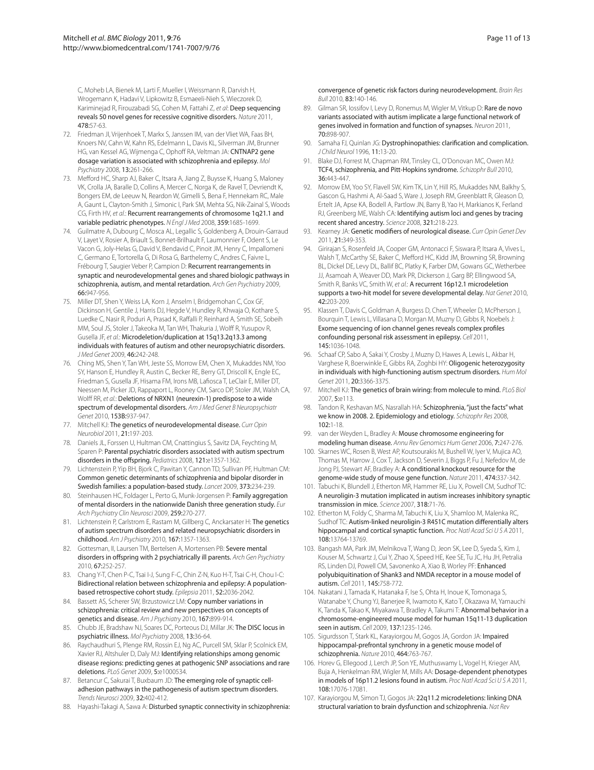C, Moheb LA, Bienek M, Larti F, Mueller I, Weissmann R, Darvish H, Wrogemann K, Hadavi V, Lipkowitz B, Esmaeeli-Nieh S, Wieczorek D, Kariminejad R, Firouzabadi SG, Cohen M, Fattahi Z, *et al*: Deep sequencing reveals 50 novel genes for recessive cognitive disorders. *Nature* 2011, 478:57-63.

- 72. Friedman JI, Vrijenhoek T, Markx S, Janssen IM, van der Vliet WA, Faas BH, Knoers NV, Cahn W, Kahn RS, Edelmann L, Davis KL, Silverman JM, Brunner HG, van Kessel AG, Wijmenga C, Ophoff RA, Veltman JA: CNTNAP2 gene dosage variation is associated with schizophrenia and epilepsy. *Mol Psychiatry* 2008, 13:261-266.
- 73. Mefford HC, Sharp AJ, Baker C, Itsara A, Jiang Z, Buysse K, Huang S, Maloney VK, Crolla JA, Baralle D, Collins A, Mercer C, Norga K, de Ravel T, Devriendt K, Bongers EM, de Leeuw N, Reardon W, Gimelli S, Bena F, Hennekam RC, Male A, Gaunt L, Clayton-Smith J, Simonic I, Park SM, Mehta SG, Nik-Zainal S, Woods CG, Firth HV, *et al.*: Recurrent rearrangements of chromosome 1q21.1 and variable pediatric phenotypes. *N Engl J Med* 2008, 359:1685-1699.
- 74. Guilmatre A, Dubourg C, Mosca AL, Legallic S, Goldenberg A, Drouin-Garraud V, Layet V, Rosier A, Briault S, Bonnet-Brilhault F, Laumonnier F, Odent S, Le Vacon G, Joly-Helas G, David V, Bendavid C, Pinoit JM, Henry C, Impallomeni C, Germano E, Tortorella G, Di Rosa G, Barthelemy C, Andres C, Faivre L, Frébourg T, Saugier Veber P, Campion D: Recurrent rearrangements in synaptic and neurodevelopmental genes and shared biologic pathways in schizophrenia, autism, and mental retardation. *Arch Gen Psychiatry* 2009, 66:947-956.
- 75. Miller DT, Shen Y, Weiss LA, Korn J, Anselm I, Bridgemohan C, Cox GF, Dickinson H, Gentile J, Harris DJ, Hegde V, Hundley R, Khwaja O, Kothare S, Luedke C, Nasir R, Poduri A, Prasad K, Raffalli P, Reinhard A, Smith SE, Sobeih MM, Soul JS, Stoler J, Takeoka M, Tan WH, Thakuria J, Wolff R, Yusupov R, Gusella JF, *et al.*: Microdeletion/duplication at 15q13.2q13.3 among individuals with features of autism and other neuropsychiatric disorders. *J Med Genet* 2009, 46:242-248.
- 76. Ching MS, Shen Y, Tan WH, Jeste SS, Morrow EM, Chen X, Mukaddes NM, Yoo SY, Hanson E, Hundley R, Austin C, Becker RE, Berry GT, Driscoll K, Engle EC, Friedman S, Gusella JF, Hisama FM, Irons MB, Lafiosca T, LeClair E, Miller DT, Neessen M, Picker JD, Rappaport L, Rooney CM, Sarco DP, Stoler JM, Walsh CA, Wolff RR, *et al.*: Deletions of NRXN1 (neurexin-1) predispose to a wide spectrum of developmental disorders. *Am J Med Genet B Neuropsychiatr Genet* 2010, 153B:937-947.
- 77. Mitchell KJ: The genetics of neurodevelopmental disease. *Curr Opin Neurobiol* 2011, 21:197-203.
- 78. Daniels JL, Forssen U, Hultman CM, Cnattingius S, Savitz DA, Feychting M, Sparen P: Parental psychiatric disorders associated with autism spectrum disorders in the offspring. *Pediatrics* 2008, 121:e1357-1362.
- 79. Lichtenstein P, Yip BH, Bjork C, Pawitan Y, Cannon TD, Sullivan PF, Hultman CM: Common genetic determinants of schizophrenia and bipolar disorder in Swedish families: a population-based study. *Lancet* 2009, 373:234-239.
- 80. Steinhausen HC, Foldager L, Perto G, Munk-Jorgensen P: Family aggregation of mental disorders in the nationwide Danish three generation study. *Eur Arch Psychiatry Clin Neurosci* 2009, 259:270-277.
- 81. Lichtenstein P, Carlstrom E, Rastam M, Gillberg C, Anckarsater H: The genetics of autism spectrum disorders and related neuropsychiatric disorders in childhood. *Am J Psychiatry* 2010, 167:1357-1363.
- 82. Gottesman, II, Laursen TM, Bertelsen A, Mortensen PB: Severe mental disorders in offspring with 2 psychiatrically ill parents. *Arch Gen Psychiatry*  2010, 67:252-257.
- 83. Chang Y-T, Chen P-C, Tsai I-J, Sung F-C, Chin Z-N, Kuo H-T, Tsai C-H, Chou I-C: Bidirectional relation between schizophrenia and epilepsy: A populationbased retrospective cohort study. *Epilepsia* 2011, 52:2036-2042.
- 84. Bassett AS, Scherer SW, Brzustowicz LM: Copy number variations in schizophrenia: critical review and new perspectives on concepts of genetics and disease. *Am J Psychiatry* 2010, 167:899-914.
- 85. Chubb JE, Bradshaw NJ, Soares DC, Porteous DJ, Millar JK: The DISC locus in psychiatric illness. *Mol Psychiatry* 2008, 13:36-64.
- 86. Raychaudhuri S, Plenge RM, Rossin EJ, Ng AC, Purcell SM, Sklar P, Scolnick EM, Xavier RJ, Altshuler D, Daly MJ: Identifying relationships among genomic disease regions: predicting genes at pathogenic SNP associations and rare deletions. *PLoS Genet* 2009, 5:e1000534.
- 87. Betancur C, Sakurai T, Buxbaum JD: The emerging role of synaptic celladhesion pathways in the pathogenesis of autism spectrum disorders. *Trends Neurosci* 2009, 32:402-412.
- 88. Hayashi-Takagi A, Sawa A: Disturbed synaptic connectivity in schizophrenia:

convergence of genetic risk factors during neurodevelopment. *Brain Res Bull* 2010, 83:140-146.

- 89. Gilman SR, Iossifov I, Levy D, Ronemus M, Wigler M, Vitkup D: Rare de novo variants associated with autism implicate a large functional network of genes involved in formation and function of synapses. *Neuron* 2011, 70:898-907.
- 90. Samaha FJ, Quinlan JG: Dystrophinopathies: clarification and complication. *J Child Neurol* 1996, 11:13-20.
- 91. Blake DJ, Forrest M, Chapman RM, Tinsley CL, O'Donovan MC, Owen MJ: TCF4, schizophrenia, and Pitt-Hopkins syndrome. *Schizophr Bull* 2010, 36:443-447.
- 92. Morrow EM, Yoo SY, Flavell SW, Kim TK, Lin Y, Hill RS, Mukaddes NM, Balkhy S, Gascon G, Hashmi A, Al-Saad S, Ware J, Joseph RM, Greenblatt R, Gleason D, Ertelt JA, Apse KA, Bodell A, Partlow JN, Barry B, Yao H, Markianos K, Ferland RJ, Greenberg ME, Walsh CA: Identifying autism loci and genes by tracing recent shared ancestry. *Science* 2008, 321:218-223.
- 93. Kearney JA: Genetic modifiers of neurological disease. *Curr Opin Genet Dev*  2011, 21:349-353.
- 94. Girirajan S, Rosenfeld JA, Cooper GM, Antonacci F, Siswara P, Itsara A, Vives L, Walsh T, McCarthy SE, Baker C, Mefford HC, Kidd JM, Browning SR, Browning BL, Dickel DE, Levy DL, Ballif BC, Platky K, Farber DM, Gowans GC, Wetherbee JJ, Asamoah A, Weaver DD, Mark PR, Dickerson J, Garg BP, Ellingwood SA, Smith R, Banks VC, Smith W, *et al.*: A recurrent 16p12.1 microdeletion supports a two-hit model for severe developmental delay. *Nat Genet* 2010, 42:203-209.
- 95. Klassen T, Davis C, Goldman A, Burgess D, Chen T, Wheeler D, McPherson J, Bourquin T, Lewis L, Villasana D, Morgan M, Muzny D, Gibbs R, Noebels J: Exome sequencing of ion channel genes reveals complex profiles confounding personal risk assessment in epilepsy. *Cell* 2011, 145:1036-1048.
- 96. Schaaf CP, Sabo A, Sakai Y, Crosby J, Muzny D, Hawes A, Lewis L, Akbar H, Varghese R, Boerwinkle E, Gibbs RA, Zoghbi HY: Oligogenic heterozygosity in individuals with high-functioning autism spectrum disorders. *Hum Mol Genet* 2011, 20:3366-3375.
- 97. Mitchell KJ: The genetics of brain wiring: from molecule to mind. *PLoS Biol*  2007, 5:e113.
- 98. Tandon R, Keshavan MS, Nasrallah HA: Schizophrenia, "just the facts" what we know in 2008. 2. Epidemiology and etiology. *Schizophr Res* 2008, 102:1-18.
- van der Weyden L, Bradley A: Mouse chromosome engineering for modeling human disease. *Annu Rev Genomics Hum Genet* 2006, 7:247-276.
- 100. Skarnes WC, Rosen B, West AP, Koutsourakis M, Bushell W, Iyer V, Mujica AO, Thomas M, Harrow J, Cox T, Jackson D, Severin J, Biggs P, Fu J, Nefedov M, de Jong PJ, Stewart AF, Bradley A: A conditional knockout resource for the genome-wide study of mouse gene function. *Nature* 2011, 474:337-342.
- 101. Tabuchi K, Blundell J, Etherton MR, Hammer RE, Liu X, Powell CM, Sudhof TC: A neuroligin-3 mutation implicated in autism increases inhibitory synaptic transmission in mice. *Science* 2007, 318:71-76.
- 102. Etherton M, Foldy C, Sharma M, Tabuchi K, Liu X, Shamloo M, Malenka RC, Sudhof TC: Autism-linked neuroligin-3 R451C mutation differentially alters hippocampal and cortical synaptic function. *Proc Natl Acad Sci U S A* 2011, 108:13764-13769.
- 103. Bangash MA, Park JM, Melnikova T, Wang D, Jeon SK, Lee D, Syeda S, Kim J, Kouser M, Schwartz J, Cui Y, Zhao X, Speed HE, Kee SE, Tu JC, Hu JH, Petralia RS, Linden DJ, Powell CM, Savonenko A, Xiao B, Worley PF: Enhanced polyubiquitination of Shank3 and NMDA receptor in a mouse model of autism. *Cell* 2011, 145:758-772.
- 104. Nakatani J, Tamada K, Hatanaka F, Ise S, Ohta H, Inoue K, Tomonaga S, Watanabe Y, Chung YJ, Banerjee R, Iwamoto K, Kato T, Okazawa M, Yamauchi K, Tanda K, Takao K, Miyakawa T, Bradley A, Takumi T: Abnormal behavior in a chromosome-engineered mouse model for human 15q11-13 duplication seen in autism. *Cell* 2009, 137:1235-1246.
- 105. Sigurdsson T, Stark KL, Karayiorgou M, Gogos JA, Gordon JA: Impaired hippocampal-prefrontal synchrony in a genetic mouse model of schizophrenia. *Nature* 2010, 464:763-767.
- 106. Horev G, Ellegood J, Lerch JP, Son YE, Muthuswamy L, Vogel H, Krieger AM, Buja A, Henkelman RM, Wigler M, Mills AA: Dosage-dependent phenotypes in models of 16p11.2 lesions found in autism. *Proc Natl Acad Sci U S A* 2011, 108:17076-17081.
- 107. Karayiorgou M, Simon TJ, Gogos JA: 22q11.2 microdeletions: linking DNA structural variation to brain dysfunction and schizophrenia. *Nat Rev*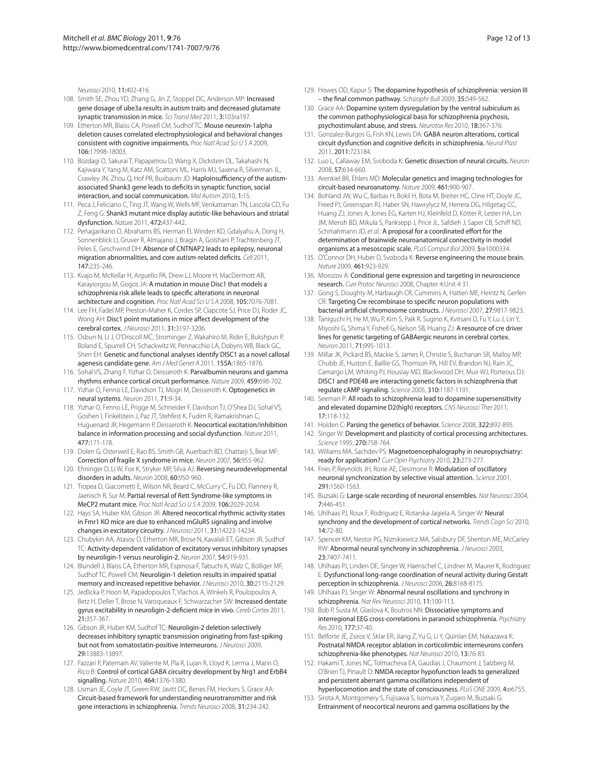*Neurosci* 2010, 11:402-416.

- 108. Smith SE, Zhou YD, Zhang G, Jin Z, Stoppel DC, Anderson MP: Increased gene dosage of ube3a results in autism traits and decreased glutamate synaptic transmission in mice. *Sci Transl Med* 2011, 3:103ra197.
- 109. Etherton MR, Blaiss CA, Powell CM, Sudhof TC: Mouse neurexin-1alpha deletion causes correlated electrophysiological and behavioral changes consistent with cognitive impairments. *Proc Natl Acad Sci U S A* 2009, 106:17998-18003.
- 110. Bozdagi O, Sakurai T, Papapetrou D, Wang X, Dickstein DL, Takahashi N, Kajiwara Y, Yang M, Katz AM, Scattoni ML, Harris MJ, Saxena R, Silverman JL, Crawley JN, Zhou Q, Hof PR, Buxbaum JD: Haploinsufficiency of the autismassociated Shank3 gene leads to deficits in synaptic function, social interaction, and social communication. *Mol Autism* 2010, 1:15.
- 111. Peca J, Feliciano C, Ting JT, Wang W, Wells MF, Venkatraman TN, Lascola CD, Fu Z, Feng G: Shank3 mutant mice display autistic-like behaviours and striatal dysfunction. *Nature* 2011, 472:437-442.
- 112. Peñagarikano O, Abrahams BS, Herman EI, Winden KD, Gdalyahu A, Dong H, Sonnenblick LI, Gruver R, Almajano J, Bragin A, Golshani P, Trachtenberg JT, Peles E, Geschwind DH: Absence of CNTNAP2 leads to epilepsy, neuronal migration abnormalities, and core autism-related deficits. *Cell* 2011, 147:235-246.
- 113. Kvajo M, McKellar H, Arguello PA, Drew LJ, Moore H, MacDermott AB, Karayiorgou M, Gogos JA: A mutation in mouse Disc1 that models a schizophrenia risk allele leads to specific alterations in neuronal architecture and cognition. *Proc Natl Acad Sci U S A* 2008, 105:7076-7081.
- 114. Lee FH, Fadel MP, Preston-Maher K, Cordes SP, Clapcote SJ, Price DJ, Roder JC, Wong AH: Disc1 point mutations in mice affect development of the cerebral cortex. *J Neurosci* 2011, 31:3197-3206.
- 115. Osbun N, Li J, O'Driscoll MC, Strominger Z, Wakahiro M, Rider E, Bukshpun P, Boland E, Spurrell CH, Schackwitz W, Pennacchio LA, Dobyns WB, Black GC, Sherr EH: Genetic and functional analyses identify DISC1 as a novel callosal agenesis candidate gene. *Am J Med Genet A* 2011, 155A:1865-1876.
- 116. Sohal VS, Zhang F, Yizhar O, Deisseroth K: Parvalbumin neurons and gamma rhythms enhance cortical circuit performance. *Nature* 2009, 459:698-702.
- 117. Yizhar O, Fenno LE, Davidson TJ, Mogri M, Deisseroth K: Optogenetics in neural systems. *Neuron* 2011, 71:9-34.
- 118. Yizhar O, Fenno LE, Prigge M, Schneider F, Davidson TJ, O'Shea DJ, Sohal VS, Goshen I, Finkelstein J, Paz JT, Stehfest K, Fudim R, Ramakrishnan C, Huguenard JR, Hegemann P, Deisseroth K: Neocortical excitation/inhibition balance in information processing and social dysfunction. *Nature* 2011, 477:171-178.
- 119. Dolen G, Osterweil E, Rao BS, Smith GB, Auerbach BD, Chattarji S, Bear MF: Correction of fragile X syndrome in mice. *Neuron* 2007, 56:955-962.
- 120. Ehninger D, Li W, Fox K, Stryker MP, Silva AJ: Reversing neurodevelopmental disorders in adults. *Neuron* 2008, 60:950-960.
- 121. Tropea D, Giacometti E, Wilson NR, Beard C, McCurry C, Fu DD, Flannery R, Jaenisch R, Sur M: Partial reversal of Rett Syndrome-like symptoms in MeCP2 mutant mice. *Proc Natl Acad Sci U S A* 2009, 106:2029-2034.
- 122. Hays SA, Huber KM, Gibson JR: Altered neocortical rhythmic activity states in Fmr1 KO mice are due to enhanced mGluR5 signaling and involve changes in excitatory circuitry. *J Neurosci* 2011, 31:14223-14234.
- 123. Chubykin AA, Atasoy D, Etherton MR, Brose N, Kavalali ET, Gibson JR, Sudhof TC: Activity-dependent validation of excitatory versus inhibitory synapses by neuroligin-1 versus neuroligin-2. *Neuron* 2007, 54:919-931.
- 124. Blundell J, Blaiss CA, Etherton MR, Espinosa F, Tabuchi K, Walz C, Bolliger MF, Sudhof TC, Powell CM: Neuroligin-1 deletion results in impaired spatial memory and increased repetitive behavior. *J Neurosci* 2010, 30:2115-2129.
- 125. Jedlicka P, Hoon M, Papadopoulos T, Vlachos A, Winkels R, Poulopoulos A, Betz H, Deller T, Brose N, Varoqueaux F, Schwarzacher SW: Increased dentate gyrus excitability in neuroligin-2-deficient mice in vivo. *Cereb Cortex* 2011, 21:357-367.
- 126. Gibson JR, Huber KM, Sudhof TC: Neuroligin-2 deletion selectively decreases inhibitory synaptic transmission originating from fast-spiking but not from somatostatin-positive interneurons. *J Neurosci* 2009, 29:13883-13897.
- 127. Fazzari P, Paternain AV, Valiente M, Pla R, Lujan R, Lloyd K, Lerma J, Marin O, Rico B: Control of cortical GABA circuitry development by Nrg1 and ErbB4 signalling. *Nature* 2010, 464:1376-1380.
- 128. Lisman JE, Coyle JT, Green RW, Javitt DC, Benes FM, Heckers S, Grace AA: Circuit-based framework for understanding neurotransmitter and risk gene interactions in schizophrenia. *Trends Neurosci* 2008, 31:234-242.
- 129. Howes OD, Kapur S: The dopamine hypothesis of schizophrenia: version III – the final common pathway. *Schizophr Bull* 2009, 35:549-562.
- 130. Grace AA: Dopamine system dysregulation by the ventral subiculum as the common pathophysiological basis for schizophrenia psychosis, psychostimulant abuse, and stress. *Neurotox Res* 2010, 18:367-376.
- 131. Gonzalez-Burgos G, Fish KN, Lewis DA: GABA neuron alterations, cortical circuit dysfunction and cognitive deficits in schizophrenia. *Neural Plast*  2011, 2011:723184.
- 132. Luo L, Callaway EM, Svoboda K: Genetic dissection of neural circuits. *Neuron*  2008, 57:634-660.
- 133. Arenkiel BR, Ehlers MD: Molecular genetics and imaging technologies for circuit-based neuroanatomy. *Nature* 2009, 461:900-907.
- 134. Bohland JW, Wu C, Barbas H, Bokil H, Bota M, Breiter HC, Cline HT, Doyle JC, Freed PJ, Greenspan RJ, Haber SN, Hawrylycz M, Herrera DG, Hilgetag CC, Huang ZJ, Jones A, Jones EG, Karten HJ, Kleinfeld D, Kötter R, Lester HA, Lin JM, Mensh BD, Mikula S, Panksepp J, Price JL, Safdieh J, Saper CB, Schiff ND, Schmahmann JD, *et al.*: A proposal for a coordinated effort for the determination of brainwide neuroanatomical connectivity in model organisms at a mesoscopic scale. *PLoS Comput Biol* 2009, 5:e1000334.
- 135. O'Connor DH, Huber D, Svoboda K: Reverse engineering the mouse brain. *Nature* 2009, 461:923-929.
- 136. Morozov A: Conditional gene expression and targeting in neuroscience research. *Curr Protoc Neurosci* 2008, Chapter 4:Unit 4 31.
- 137. Gong S, Doughty M, Harbaugh CR, Cummins A, Hatten ME, Heintz N, Gerfen CR: Targeting Cre recombinase to specific neuron populations with bacterial artificial chromosome constructs. *J Neurosci* 2007, 27:9817-9823.
- 138. Taniguchi H, He M, Wu P, Kim S, Paik R, Sugino K, Kvitsani D, Fu Y, Lu J, Lin Y, Miyoshi G, Shima Y, Fishell G, Nelson SB, Huang ZJ: A resource of cre driver lines for genetic targeting of GABAergic neurons in cerebral cortex. *Neuron* 2011, 71:995-1013.
- 139. Millar JK, Pickard BS, Mackie S, James R, Christie S, Buchanan SR, Malloy MP, Chubb JE, Huston E, Baillie GS, Thomson PA, Hill EV, Brandon NJ, Rain JC, Camargo LM, Whiting PJ, Houslay MD, Blackwood DH, Muir WJ, Porteous DJ: DISC1 and PDE4B are interacting genetic factors in schizophrenia that regulate cAMP signaling. *Science* 2005, 310:1187-1191.
- 140. Seeman P: All roads to schizophrenia lead to dopamine supersensitivity and elevated dopamine D2(high) receptors. *CNS Neurosci Ther* 2011, 17:118-132.
- 141. Holden C: Parsing the genetics of behavior. *Science* 2008, 322:892-895.
- 142. Singer W: Development and plasticity of cortical processing architectures. *Science* 1995, 270:758-764.
- 143. Williams MA, Sachdev PS: Magnetoencephalography in neuropsychiatry: ready for application? *Curr Opin Psychiatry* 2010, 23:273-277.
- 144. Fries P, Reynolds JH, Rorie AE, Desimone R: Modulation of oscillatory neuronal synchronization by selective visual attention. *Science* 2001, 291:1560-1563.
- 145. Buzsaki G: Large-scale recording of neuronal ensembles. *Nat Neurosci* 2004, 7:446-451.
- 146. Uhlhaas PJ, Roux F, Rodriguez E, Rotarska-Jagiela A, Singer W: Neural synchrony and the development of cortical networks. *Trends Cogn Sci* 2010, 14:72-80.
- 147. Spencer KM, Nestor PG, Niznikiewicz MA, Salisbury DF, Shenton ME, McCarley RW: Abnormal neural synchrony in schizophrenia. *J Neurosci* 2003, 23:7407-7411.
- 148. Uhlhaas PJ, Linden DE, Singer W, Haenschel C, Lindner M, Maurer K, Rodriguez E: Dysfunctional long-range coordination of neural activity during Gestalt perception in schizophrenia. *J Neurosci* 2006, 26:8168-8175.
- 149. Uhlhaas PJ, Singer W: Abnormal neural oscillations and synchrony in schizophrenia. *Nat Rev Neurosci* 2010, 11:100-113.
- 150. Bob P, Susta M, Glaslova K, Boutros NN: Dissociative symptoms and interregional EEG cross-correlations in paranoid schizophrenia. *Psychiatry Res* 2010, 177:37-40.
- 151. Belforte JE, Zsiros V, Sklar ER, Jiang Z, Yu G, Li Y, Quinlan EM, Nakazawa K: Postnatal NMDA receptor ablation in corticolimbic interneurons confers schizophrenia-like phenotypes. *Nat Neurosci* 2010, 13:76-83.
- 152. Hakami T, Jones NC, Tolmacheva EA, Gaudias J, Chaumont J, Salzberg M, O'Brien TJ, Pinault D: NMDA receptor hypofunction leads to generalized and persistent aberrant gamma oscillations independent of hyperlocomotion and the state of consciousness. *PLoS ONE* 2009, 4:e6755.
- 153. Sirota A, Montgomery S, Fujisawa S, Isomura Y, Zugaro M, Buzsaki G: Entrainment of neocortical neurons and gamma oscillations by the